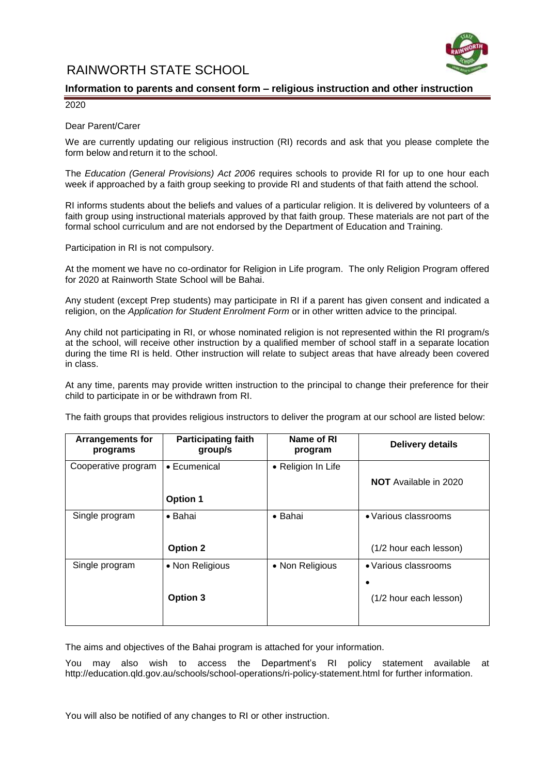RAINWORTH STATE SCHOOL



## **Information to parents and consent form – religious instruction and other instruction**

2020

### Dear Parent/Carer

We are currently updating our religious instruction (RI) records and ask that you please complete the form below and return it to the school.

The *Education (General Provisions) Act 2006* requires schools to provide RI for up to one hour each week if approached by a faith group seeking to provide RI and students of that faith attend the school.

RI informs students about the beliefs and values of a particular religion. It is delivered by volunteers of a faith group using instructional materials approved by that faith group. These materials are not part of the formal school curriculum and are not endorsed by the Department of Education and Training.

Participation in RI is not compulsory.

At the moment we have no co-ordinator for Religion in Life program. The only Religion Program offered for 2020 at Rainworth State School will be Bahai.

Any student (except Prep students) may participate in RI if a parent has given consent and indicated a religion, on the *Application for Student Enrolment Form* or in other written advice to the principal.

Any child not participating in RI, or whose nominated religion is not represented within the RI program/s at the school, will receive other instruction by a qualified member of school staff in a separate location during the time RI is held. Other instruction will relate to subject areas that have already been covered in class.

At any time, parents may provide written instruction to the principal to change their preference for their child to participate in or be withdrawn from RI.

The faith groups that provides religious instructors to deliver the program at our school are listed below:

| <b>Arrangements for</b><br>programs | <b>Participating faith</b><br>group/s | Name of RI<br>program | <b>Delivery details</b>                        |
|-------------------------------------|---------------------------------------|-----------------------|------------------------------------------------|
| Cooperative program                 | • Ecumenical<br>Option 1              | • Religion In Life    | <b>NOT</b> Available in 2020                   |
| Single program                      | • Bahai<br><b>Option 2</b>            | • Bahai               | • Various classrooms<br>(1/2 hour each lesson) |
| Single program                      | • Non Religious<br>Option 3           | • Non Religious       | • Various classrooms<br>(1/2 hour each lesson) |

The aims and objectives of the Bahai program is attached for your information.

You may also wish to access the Department's RI policy statement available at http://education.qld.gov.au/schools/school-operations/ri-policy-statement.html for further information.

You will also be notified of any changes to RI or other instruction.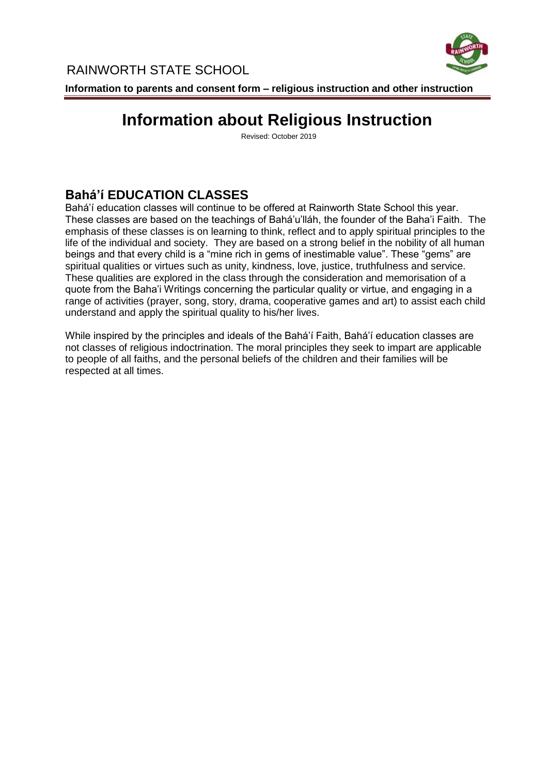

# **Information about Religious Instruction**

Revised: October 2019

## **Bahá'í EDUCATION CLASSES**

Bahá'í education classes will continue to be offered at Rainworth State School this year. These classes are based on the teachings of Bahá'u'lláh, the founder of the Baha'i Faith. The emphasis of these classes is on learning to think, reflect and to apply spiritual principles to the life of the individual and society. They are based on a strong belief in the nobility of all human beings and that every child is a "mine rich in gems of inestimable value". These "gems" are spiritual qualities or virtues such as unity, kindness, love, justice, truthfulness and service. These qualities are explored in the class through the consideration and memorisation of a quote from the Baha'i Writings concerning the particular quality or virtue, and engaging in a range of activities (prayer, song, story, drama, cooperative games and art) to assist each child understand and apply the spiritual quality to his/her lives.

While inspired by the principles and ideals of the Bahá'í Faith, Bahá'í education classes are not classes of religious indoctrination. The moral principles they seek to impart are applicable to people of all faiths, and the personal beliefs of the children and their families will be respected at all times.